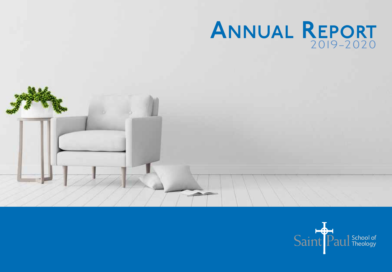### ANNUAL REPORT 2019-2020



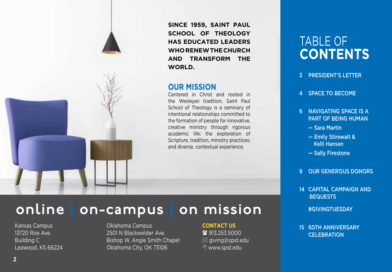**SINCE 1959, SAINT PAUL SCHOOL OF THEOLOGY HAS EDUCATED LEADERS WHO RENEW THE CHURCH AND TRANSFORM THE WORLD.**

### **OUR MISSION**

Centered in Christ and rooted in the Wesleyan tradition, Saint Paul School of Theology is a seminary of intentional relationships committed to the formation of people for innovative, creative ministry through rigorous academic life; the exploration of Scripture, tradition, ministry practices; and diverse, contextual experience.

### TABLE OF **CONTENTS**

- *3 President's Letter*
- *4 space to become*
- *6 NAVIGATING SPACE IS A PART OF BEING HUMAN*
	- *Sara Martin*
	- *Emily Stirewalt & Kelli Hansen*
	- *Sally Firestone*
- *9 Our Generous Donors*
- *14 Capital Campaign and Bequests*
	- *#GivingTuesday*
- *15 60th anniversary celebration*

Kansas Campus 13720 Roe Ave. Building C Leawood, KS 66224

### online | on-campus | on mission

Oklahoma Campus 2501 N Blackwelder Ave. Bishop W. Angie Smith Chapel Oklahoma City, OK 73106

### **CONTACT US**

■ 913.253.5000  $\boxtimes$  giving@spst.edu **<sup>1</sup> www.spst.edu**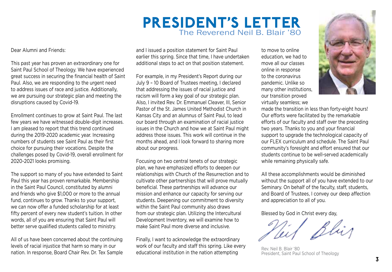### President's Letter The Reverend Neil B. Blair '80

Dear Alumni and Friends:

This past year has proven an extraordinary one for Saint Paul School of Theology. We have experienced great success in securing the financial health of Saint Paul. Also, we are responding to the urgent need to address issues of race and justice. Additionally, we are pursuing our strategic plan and meeting the disruptions caused by Covid-19.

Enrollment continues to grow at Saint Paul. The last few years we have witnessed double-digit increases. I am pleased to report that this trend continued during the 2019-2020 academic year. Increasing numbers of students see Saint Paul as their first choice for pursuing their vocations. Despite the challenges posed by Covid-19, overall enrollment for 2020-2021 looks promising.

The support so many of you have extended to Saint Paul this year has proven remarkable. Membership in the Saint Paul Council, constituted by alumni and friends who give \$1,000 or more to the annual fund, continues to grow. Thanks to your support, we can now offer a funded scholarship for at least fifty percent of every new student's tuition. In other words, all of you are ensuring that Saint Paul will better serve qualified students called to ministry.

All of us have been concerned about the continuing levels of racial injustice that harm so many in our nation. In response, Board Chair Rev. Dr. Tex Sample and I issued a position statement for Saint Paul earlier this spring. Since that time, I have undertaken additional steps to act on that position statement.

For example, in my President's Report during our July 9 – 10 Board of Trustees meeting, I declared that addressing the issues of racial justice and racism will form a key goal of our strategic plan. Also, I invited Rev. Dr. Emmanuel Cleaver, III, Senior Pastor of the St. James United Methodist Church in Kansas City and an alumnus of Saint Paul, to lead our board through an examination of racial justice issues in the Church and how we at Saint Paul might address those issues. This work will continue in the months ahead, and I look forward to sharing more about our progress.

Focusing on two central tenets of our strategic plan, we have emphasized efforts to deepen our relationships with Church of the Resurrection and to cultivate other partnerships that will prove mutually beneficial. These partnerships will advance our mission and enhance our capacity for serving our students. Deepening our commitment to diversity within the Saint Paul community also draws from our strategic plan. Utilizing the Intercultural Development Inventory, we will examine how to make Saint Paul more diverse and inclusive.

Finally, I want to acknowledge the extraordinary work of our faculty and staff this spring. Like every educational institution in the nation attempting

to move to online education, we had to move all our classes online in response to the coronavirus pandemic. Unlike so many other institutions, our transition proved virtually seamless; we



made the transition in less than forty-eight hours! Our efforts were facilitated by the remarkable efforts of our faculty and staff over the preceding two years. Thanks to you and your financial support to upgrade the technological capacity of our FLEX curriculum and schedule. The Saint Paul community's foresight and effort ensured that our students continue to be well-served academically while remaining physically safe.

All these accomplishments would be diminished without the support all of you have extended to our Seminary. On behalf of the faculty, staff, students, and Board of Trustees, I convey our deep affection and appreciation to all of you.

Blessed by God in Christ every day,

Rev. Neil B. Blair '80 President, Saint Paul School of Theology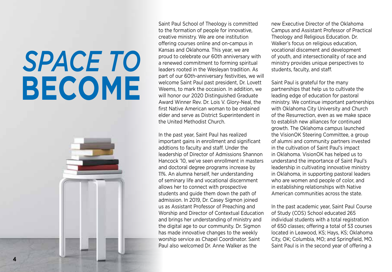# *space TO* **BECOME**



Saint Paul School of Theology is committed to the formation of people for innovative, creative ministry. We are one institution offering courses online and on-campus in Kansas and Oklahoma. This year, we are proud to celebrate our 60th anniversary with a renewed commitment to forming spiritual leaders rooted in the Wesleyan tradition. As part of our 60th-anniversary festivities, we will welcome Saint Paul past president, Dr. Lovett Weems, to mark the occasion. In addition, we will honor our 2020 Distinguished Graduate Award Winner Rev. Dr. Lois V. Glory-Neal, the first Native American woman to be ordained elder and serve as District Superintendent in the United Methodist Church.

In the past year, Saint Paul has realized important gains in enrollment and significant addtions to faculty and staff. Under the leadership of Director of Admissions Shannon Hancock '10, we've seen enrollment in masters and doctoral degree programs increase by 11%. An alumna herself, her understanding of seminary life and vocational discernment allows her to connect with prospective students and guide them down the path of admission. In 2019, Dr. Casey Sigmon joined us as Assistant Professor of Preaching and Worship and Director of Contextual Education and brings her understanding of ministry and the digital age to our community. Dr. Sigmon has made innovative changes to the weekly worship service as Chapel Coordinator. Saint Paul also welcomed Dr. Anne Walker as the

new Executive Director of the Oklahoma Campus and Assistant Professor of Practical Theology and Religious Education. Dr. Walker's focus on religious education, vocational discement and development of youth, and intersectionality of race and ministry provides unique perspectives to students, faculty, and staff.

Saint Paul is grateful for the many partnerships that help us to cultivate the leading edge of education for pastoral ministry. We continue important partnerships with Oklahoma City University and Church of the Resurrection, even as we make space to establish new alliances for continued growth. The Oklahoma campus launched the VisionOK Steering Committee, a group of alumni and community partners invested in the cultivation of Saint Paul's impact in Oklahoma. VisionOK has helped us to understand the importance of Saint Paul's leadership in cultivating innovative ministry in Oklahoma, in supporting pastoral leaders who are women and people of color, and in establishing relationships with Native American communities across the state.

In the past academic year, Saint Paul Course of Study (COS) School educated 265 individual students with a total registration of 650 classes; offering a total of 53 courses located in Leawood, KS; Hays, KS; Oklahoma City, OK; Columbia, MO; and Springfield, MO. Saint Paul is in the second year of offering a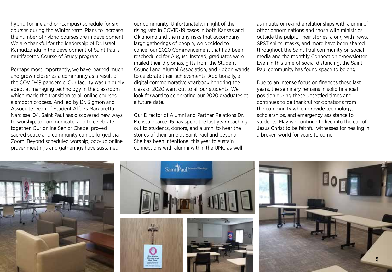hybrid (online and on-campus) schedule for six courses during the Winter term. Plans to increase the number of hybrid courses are in development. We are thankful for the leadership of Dr. Israel Kamudzandu in the development of Saint Paul's multifaceted Course of Study program.

Perhaps most importantly, we have learned much and grown closer as a community as a result of the COVID-19 pandemic. Our faculty was uniquely adept at managing technology in the classroom which made the transition to all online courses a smooth process. And led by Dr. Sigmon and Associate Dean of Student Affairs Margaretta Narcisse '04, Saint Paul has discovered new ways to worship, to communicate, and to celebrate together. Our online Senior Chapel proved sacred space and community can be forged via Zoom. Beyond scheduled worship, pop-up online prayer meetings and gatherings have sustained

our community. Unfortunately, in light of the rising rate in COVID-19 cases in both Kansas and Oklahoma and the many risks that accompany large gatherings of people, we decided to cancel our 2020 Commencement that had been rescheduled for August. Instead, graduates were mailed their diplomas, gifts from the Student Council and Alumni Association, and ribbon wands to celebrate their achievements. Additionally, a digital commemorative yearbook honoring the class of 2020 went out to all our students. We look forward to celebrating our 2020 graduates at a future date.

Our Director of Alumni and Partner Relations Dr. Melissa Pearce '15 has spent the last year reaching out to students, donors, and alumni to hear the stories of their time at Saint Paul and beyond. She has been intentional this year to sustain connections with alumni within the UMC as well

as initiate or rekindle relationships with alumni of other denominations and those with ministries outside the pulpit. Their stories, along with news, SPST shirts, masks, and more have been shared throughout the Saint Paul community on social media and the monthly Connection e-newsletter. Even in this time of social distancing, the Saint Paul community has found space to belong.

Due to an intense focus on finances these last years, the seminary remains in solid financial position during these unsettled times and continues to be thankful for donations from the community which provide technology, scholarships, and emergency assistance to students. May we continue to live into the call of Jesus Christ to be faithful witnesses for healing in a broken world for years to come.

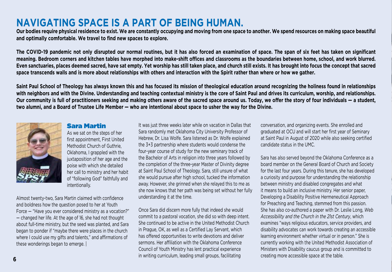### **Navigating space is a part of being human.**

**Our bodies require physical residence to exist. We are constantly occupying and moving from one space to another. We spend resources on making space beautiful and optimally comfortable. We travel to find new spaces to explore.** 

**The COVID-19 pandemic not only disrupted our normal routines, but it has also forced an examination of space. The span of six feet has taken on significant meaning. Bedroom corners and kitchen tables have morphed into make-shift offices and classrooms as the boundaries between home, school, and work blurred. Even sanctuaries, places deemed sacred, have sat empty. Yet worship has still taken place, and church still exists. It has brought into focus the concept that sacred space transcends walls and is more about relationships with others and interaction with the Spirit rather than where or how we gather.** 

**Saint Paul School of Theology has always known this and has focused its mission of theological education around recognizing the holiness found in relationships**  with neighbors and with the Divine. Understanding and teaching contextual ministry is the core of Saint Paul and drives its curriculum, worship, and relationships. **Our community is full of practitioners seeking and making others aware of the sacred space around us. Today, we offer the story of four individuals — a student, two alumni, and a Board of Trustee Life Member — who are intentional about space to usher the way for the Divine.**



#### Sara Martin

As we sat on the steps of her first appointment, First United Methodist Church of Guthrie, Oklahoma, I grappled with the juxtaposition of her age and the poise with which she detailed her call to ministry and her habit of "following God" faithfully and intentionally.

Almost twenty-two, Sara Martin claimed with confidence and boldness how the question posed to her at Youth Force — "Have you ever considered ministry as a vocation?" — changed her life. At the age of 16, she had not thought about full-time ministry, but the seed was planted, and Sara began to ponder if "maybe there were places in the church where I could use my gifts and talents," and affirmations of these wonderings began to emerge. |

It was just three weeks later while on vacation in Dallas that Sara randomly met Oklahoma City University Professor of Hebrew, Dr. Lisa Wolfe. Sara listened as Dr. Wolfe explained the 3+3 partnership where students would condense the four-year course of study for the new seminary track of the Bachelor of Arts in religion into three years followed by the completion of the three-year Master of Divinity degree at Saint Paul School of Theology. Sara, still unsure of what she would pursue after high school, tucked the information away. However, she grinned when she relayed this to me as she now knows that her path was being set without her fully understanding it at the time.

Once Sara did discern more fully that indeed she would commit to a pastoral vocation, she did so with deep intent. She continued to be active in the United Methodist Church in Prague, OK, as well as a Certified Lay Servant, which has offered opportunities to write devotions and deliver sermons. Her affiliation with the Oklahoma Conference Council of Youth Ministry has lent practical experience in writing curriculum, leading small groups, facilitating

conversation, and organizing events. She enrolled and graduated at OCU and will start her first year of Seminary at Saint Paul in August of 2020 while also seeking certified candidate status in the UMC.

Sara has also served beyond the Oklahoma Conference as a board member on the General Board of Church and Society for the last four years. During this tenure, she has developed a curiosity and purpose for understanding the relationship between ministry and disabled congregates and what it means to build an inclusive ministry. Her senior paper, Developing a Disability Positive Hermeneutical Approach for Preaching and Teaching, stemmed from this passion. She has also co-authored a paper with Dr. Leslie Long, *Web Accessibility and the Church in the 21st Century*, which examines "ways religious educators, service providers, and disability advocates can work towards creating an accessible learning environment whether virtual or in person." She is currently working with the United Methodist Association of Ministers with Disability caucus group and is committed to creating more accessible space at the table.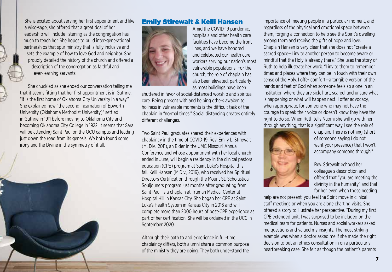She is excited about serving her first appointment and like a wise-sage, she offered that a great deal of her leadership will include listening as the congregation has much to teach her. She hopes to build inter-generational partnerships that spur ministry that is fully inclusive and sets the example of how to love God and neighbor. She proudly detailed the history of the church and offered a description of the congregation as faithful and ever-learning servants.

 She chuckled as she ended our conversation telling me that it seems fitting that her first appointment is in Guthrie. "It is the first home of Oklahoma City University in a way." She explained how "the second incarnation of Epworth University (Oklahoma Methodist University)" settled in Guthrie in 1911 before moving to Oklahoma City and becoming Oklahoma City College in 1922. It seems that Sara will be attending Saint Paul on the OCU campus and leading just down the road from its genesis. We both found some irony and the Divine in the symmetry of it all.



#### Emily Stirewalt & Kelli Hansen



Amid the COVID-19 pandemic, hospitals and other health care facilities have become the front lines, and we have honored and celebrated our health care workers serving our nation's most vulnerable populations. For the church, the role of chaplain has also been elevated, particularly as most buildings have been

shuttered in favor of social-distanced worship and spiritual care. Being present with and helping others awaken to holiness in vulnerable moments is the difficult task of the chaplain in "normal times." Social distancing creates entirely different challenges.

Two Saint Paul graduates shared their experiences with chaplaincy in the time of COVID-19. Rev. Emily L. Stirewalt (M. Div., 2011), an Elder in the UMC Missouri Annual Conference and whose appointment with her local church ended in June, will begin a residency in the clinical pastoral education (CPE) program at Saint Luke's Hospital this fall. Kelli Hansen (M.Div., 2016), who received her Spiritual Directors Certification through the Mount St. Scholastica Souljouners program just months after graduating from Saint Paul, is a chaplain at Truman Medical Center at Hospital Hill in Kansas City. She began her CPE at Saint Luke's Health System in Kansas City in 2016 and will complete more than 2000 hours of post-CPE experience as part of her certification. She will be ordained in the UCC in September 2020.

Although their path to and experience in full-time chaplaincy differs, both alumni share a common purpose of the ministry they are doing. They both understand the

importance of meeting people in a particular moment, and regardless of the physical and emotional space between them, forging a connection to help see the Spirit's dwelling among them and receive the gifts of hope and love. Chaplain Hansen is very clear that she does not "create a sacred space—I invite another person to become aware or mindful that the Holy is already there." She uses the story of Ruth to help illustrate her work. "I invite them to remember times and places where they can be in touch with their own sense of the Holy. I offer comfort—a tangible version of the hands and feet of God when someone feels so alone in an institution where they are sick, hurt, scared, and unsure what is happening or what will happen next. I offer advocacy, when appropriate, for someone who may not have the courage to speak their voice or doesn't know they have the right to do so. When Ruth tells Naomi she will go with her through anything, that is a significant way I see the role of



chaplain. There is nothing (short of someone saying I do not want your presence) that I won't accompany someone through."

Rev. Stirewalt echoed her colleague's description and offered that "you are meeting the divinity in the humanity" and that for her, even when those needing

help are not present, you feel the Spirit move in clinical staff meetings or when you are alone charting visits. She offered a story to illustrate her perspective. "During my first CPE extended unit, I was surprised to be included on the medical team for patients. Nurses and social workers asked me questions and valued my insights. The most striking example was when a doctor asked me if she made the right decision to put an ethics consultation in on a particularly heartbreaking case. She felt as though the patient's parents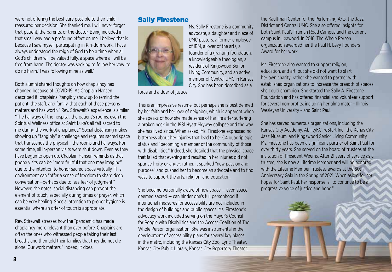were not offering the best care possible to their child. I reassured her decision. She thanked me. I will never forget that patient, the parents, or the doctor. Being included in that small way had a profound effect on me. I believe that is because I saw myself participating in Kin-dom work. I have always understood the reign of God to be a time when all God's children will be valued fully, a space where all will be free from harm. The doctor was seeking to follow her vow 'to do no harm.' I was following mine as well."

Both alumni shared thoughts on how chaplaincy has changed because of COVID-19. As Chaplain Hansen described it, chaplains "tangibly show up to remind the patient, the staff, and family, that each of these persons matters and has worth." Rev. Stirewalt's experience is similar: "The hallways of the hospital, the patient's rooms, even the Spiritual Wellness office at Saint Luke's all felt sacred to me during the work of chaplaincy." Social distancing makes showing up "tangibly" a challenge and requires sacred space that transcends the physical – the rooms and hallways. For some time, all in-person visits were shut down. Even as they have begun to open up, Chaplain Hansen reminds us that phone visits can be "more fruitful that one may imagine" due to the intention to honor sacred space virtually. This environment can "offer a sense of freedom to share deep conversation—perhaps due to less fear of judgment." However, she notes, social distancing can prevent the element of touch, especially during times of prayer, which can be very healing. Special attention to proper hygiene is essential where an offer of touch is appropriate.

Rev. Stirewalt stresses how the "pandemic has made chaplaincy more relevant than ever before. Chaplains are often the ones who witnessed people taking their last breaths and then told their families that they did not die alone. Our work matters." Indeed, it does.

#### Sally Firestone



force and a doer of justice.

This is an impressive resume, but perhaps she is best defined by her faith and her love of neighbor, which is apparent when she speaks of how she made sense of her life after suffering a broken neck in the 1981 Hyatt Skyway collapse and the way she has lived since. When asked, Ms. Firestone expressed no bitterness about her injuries that lead to her C4 quadriplegic status and "becoming a member of the community of those with disabilities." Indeed, she detailed that the physical space that failed that evening and resulted in her injuries did not spur self-pity or anger; rather, it sparked "new passion and purpose" and pushed her to become an advocate and to find ways to support the arts, religion, and education.

She became personally aware of how space — even space deemed sacred — can hinder one's full personhood if intentional measures for accessibility are not included in the design of buildings and public spaces. Ms. Firestone's advocacy work included serving on the Mayor's Council for People with Disabilities and the Access Coalition of The Whole Person organization. She was instrumental in the development of accessibility plans for several key places in the metro, including the Kansas City Zoo, Lyric Theater, Kansas City Public Library, Kansas City Repertory Theater,

the Kauffman Center for the Performing Arts, the Jazz District and Central UMC. She also offered insights for both Saint Paul's Truman Road Campus and the current campus in Leawood. In 2016, The Whole Person organization awarded her the Paul H. Levy Founders Award for her work.

Ms. Firestone also wanted to support religion, education, and art, but she did not want to start her own charity; rather she wanted to partner with established organizations to increase the breadth of spaces she could champion. She started the Sally A. Firestone Foundation and has offered financial and volunteer support for several non-profits, including her alma mater – Illinois Wesleyan University – and Saint Paul.

She has served numerous organizations, including the Kansas City Academy, AbilityKC, reStart Inc., the Kanas City Jazz Museum, and Kingswood Senior Living Community. Ms. Firestone has been a significant partner of Saint Paul for over thirty years. She served on the board of trustees at the invitation of President Weems. After 21 years of service as a trustee, she is now a Lifetime Member and will be honored with the Lifetime Member Trustees awards at the 60th Anniversary Gala in the Spring of 2021. When asked for her hopes for Saint Paul, her response is "to continue to be a progressive voice of justice and hope."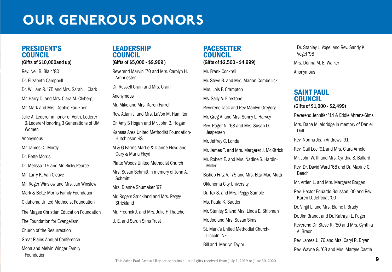### Our Generous Donors

#### PRESIDENT'S COUNCIL

#### (Gifts of \$10,000and up)

Rev. Neil B. Blair '80

Dr. Elizabeth Campbell

Dr. William R. '75 and Mrs. Sarah J. Clark

Mr. Harry D. and Mrs. Clara M. Cleberg

Mr. Mark and Mrs. Debbie Faulkner

Julie A. Lederer in honor of Veith, Lederer & Lederer-Honoring 3 Generations of UM Women

Anonymous

Mr. James C. Mordy

Dr. Bette Morris

Dr. Melissa '15 and Mr. Ricky Pearce

Mr. Larry K. Van Cleave

Mr. Roger Winslow and Mrs. Jan Winslow

Mark & Bette Morris Family Foundation

Oklahoma United Methodist Foundation

The Magee Christian Education Foundation

The Foundation for Evangelism

Church of the Resurrection

Great Plains Annual Conference

Mona and Melvin Winger Family

Foundation

### LEADERSHIP COUNCIL

(Gifts of \$5,000 - \$9,999 )

Reverend Marvin '70 and Mrs. Carolyn H. Arnpriester

Dr. Russell Crain and Mrs. Crain

Anonymous

Mr. Mike and Mrs. Karen Farrell

Rev. Adam J. and Mrs. LaVon M. Hamilton

Dr. Amy S Hogan and Mr. John B. Hogan

Kansas Area United Methodist Foundation-Hutchinson,KS

M & G Farms-Martie & Dianne Floyd and Gary & Marla Floyd

Platte Woods United Methodist Church

Mrs. Susan Schmitt in memory of John A. Schmitt

Mrs. Dianne Shumaker '97

Mr. Rogers Strickland and Mrs. Peggy Strickland

Mr. Fredrick J. and Mrs. Julie F. Thatcher

U. E. and Sarah Sims Trust

### PACESETTER COUNCIL

#### (Gifts of \$2,500 - \$4,999)

Mr. Frank Cockrell

Mr. Steve B. and Mrs. Marian Combellick

Mrs. Lois F. Crampton

Ms. Sally A. Firestone

Reverend Jack and Rev Marilyn Gregory

Mr. Greg A. and Mrs. Sunny L. Harvey

Rev. Roger N. '68 and Mrs. Susan D. Jespersen

Mr. Jeffrey C. Londa

Mr. James T. and Mrs. Margaret J. McKitrick

Mr. Robert E. and Mrs. Nadine S. Hardin-Miller

Bishop Fritz A. '75 and Mrs. Etta Mae Mutti

Oklahoma City University

Dr. Tex S. and Mrs. Peggy Sample

Ms. Paula K. Sauder

Mr. Stanley S. and Mrs. Linda E. Shipman

Mr. Joe and Mrs. Susan Sims

St. Mark's United Methodist Church-Lincoln, NE

Bill and Marilyn Taylor

Dr. Stanley J. Vogel and Rev. Sandy K. Vogel '98

Mrs. Donna M. E. Walker

Anonymous

### SAINT PAUL COUNCIL

(Gifts of \$1,000 - \$2,499)

Reverend Jennifer '14 & Eddie Ahrens-Sims

Mrs. Dana M. Aldridge in memory of Daniel Doll

Rev. Norma Jean Andrews '91

Rev. Gail Lee '91 and Mrs. Clara Arnold

Mr. John W. III and Mrs. Cynthia S. Ballard

Rev. Dr. David Ward '68 and Dr. Maxine C. Beach

Mr. Arden L. and Mrs. Margaret Borgen

Rev. Hector Eduardo Bousson '00 and Rev. Karen D. Jeffcoat '00

Dr. Virgil L. and Mrs. Elaine I. Brady

Dr. Jim Brandt and Dr. Kathryn L. Fuger

Reverend Dr. Steve R. '80 and Mrs. Cynthia A. Breon

Rev. James J. '76 and Mrs. Caryl R. Bryan

Rev. Wayne G. '63 and Mrs. Margee Castle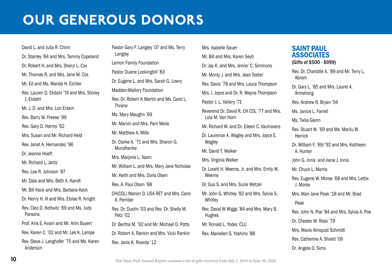### Our Generous Donors

David L. and Julia R. Chinn Dr. Stanley '84 and Mrs. Tammy Copeland Dr. Robert H. and Mrs. Sheryl L. Cox Mr. Thomas R. and Mrs. Jane M. Cox Mr. Ed and Ms. Wanda H. Eichler Rev. Lauren D. Ekdahl '74 and Mrs. Shirley J. Ekdahl Mr. J. D. and Mrs. Lori Erskin Rev. Barry W. Freese '99 Rev. Gary D. Harms '62 Mrs. Susan and Mr. Richard Held Rev. Janet A. Hernandez '96 Dr. Jeanne Hoeft Mr. Richard L. Jantz Rev. Lee R. Johnson '87 Mr. Dale and Mrs. Beth A. Kandt Mr. Bill Keck and Mrs. Barbara Keck Dr. Henry H. III and Mrs. Eloise R. Knight Rev. Cleo D. Kottwitz '69 and Ms. Judy Parsons Prof. Kris E. Kvam and Mr. Arlin Buyert Rev. Karen C. '02 and Mr. Les K. Lampe Rev. Steve J. Langhofer '75 and Ms. Karen Anderson

Pastor Gary F. Langley '07 and Ms. Terry Langley Lemon Family Foundation Pastor Duane Lookingbill '83 Dr. Eugene L. and Mrs. Sarah G. Lowry Madden-Mallory Foundation Rev. Dr. Robert K Martin and Ms. Carol L. **Thrane** Ms. Mary Maughn '69 Mr. Marvin and Mrs. Pam Meile Mr. Matthew A. Mills Dr. Clarke A. '71 and Mrs. Sharon G. Mundhenke Mrs. Marjorie L. Nairn Mr. William L. and Mrs. Mary Jane Nicholas Mr. Keith and Mrs. Doris Olsen Rev. A. Paul Olson '68 CH(COL) Marion D. USA RET and Mrs. Carol A. Pember Rev. Dr. Dustin '03 and Rev. Dr. Shelly M. Petz '02 Dr. Bertha M. '92 and Mr. Michael D. Potts Dr. Robert A. Rankin and Mrs. Vicki Rankin Rev. Janis K. Roorda '12

Mrs. Isabelle Sauer Mr. Bill and Mrs. Karen Seyb Dr. Jay K. and Mrs. Jenne' C. Simmons Mr. Monty J. and Mrs. Jean Teeter Rev. Davis '78 and Mrs. Laura Thompson Mrs. I. Joyce and Dr. R. Wayne Thompson Pastor J. L. Vallery '71 Reverend Dr. David R. CH COL '77 and Mrs. Lola M. Van Horn Mr. Richard W. and Dr. Eileen C. Vautravers Dr. Laurence A. Wagley and Mrs. Joyce E. Wagley Mr. David T. Walker Mrs. Virginia Walker Dr. Lovett H. Weems, Jr. and Mrs. Emily W. Weems Dr. Gus S. and Mrs. Suzie Wetzel Mr. John G. Whitley '82 and Mrs. Sylvia S. **Whitley** Rev. David W Wiggs '84 and Mrs. Mary B. Hughes Mr. Ronald L. Yoder, CLU Rev. Mariellen S. Yoshino '88

### SAINT PAUL **ASSOCIATES**

(Gifts of \$500 - \$999)

Rev. Dr. Charlotte A. '89 and Mr. Terry L. Abram

Dr. Gary L. '85 and Mrs. Laurel A. Armstrong

Rev. Andrew R. Bryan '04

Ms. Janice L. Farrell

Ms. Twila Glenn

Rev. Stuart W. '69 and Ms. Marilu W. Herrick

Dr. William F. '69/'92 and Mrs. Kathleen A. Hunter

John G. Innis and Irene J. Innis

Mr. Chuck L. Morris

Rev. Eugene W. Morse '68 and Mrs. Lettie J. Morse

Mrs. Mari Jane Peak '18 and Mr. Brad

Peak

Rev. John N. Poe '84 and Mrs. Sylvia A. Poe

Dr. Chester W. Ross '79

Mrs. Mavis Almquist Schmidt

Rev. Catherine A. Shield '09

Dr. Angela D. Sims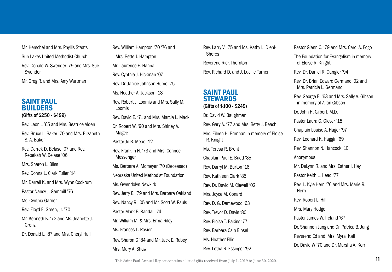Mr. Herschel and Mrs. Phyllis Staats Sun Lakes United Methodist Church Rev. Donald W. Swender '79 and Mrs. Sue Swender Mr. Greg R. and Mrs. Amy Wartman

#### SAINT PAUL BUILDERS (Gifts of \$250 - \$499)

Rev. Leon L '65 and Mrs. Beatrice Alden

Rev. Bruce L. Baker '70 and Mrs. Elizabeth S. A. Baker

Rev. Derrek D. Belase '07 and Rev. Rebekah W. Belase '06

Mrs. Sharon L. Bliss.

Rev. Donna L. Clark Fuller '14

Mr. Darrell K. and Mrs. Wynn Cockrum

Pastor Nancy J. Gammill '76

Ms. Cynthia Garner

Rev. Floyd E. Green, Jr. '70

Mr. Kenneth K. '72 and Ms. Jeanette J. Grenz

Dr. Donald L. '87 and Mrs. Cheryl Hall

Rev. William Hampton '70 '76 and Mrs. Bette J. Hampton Mr. Laurence E. Hanna Rev. Cynthia J. Hickman '07 Rev. Dr. Janice Johnson Hume '75 Ms. Heather A. Jackson '18 Rev. Robert J. Loomis and Mrs. Sally M. Loomis Rev. David E. '71 and Mrs. Marcia L. Mack Dr. Robert W. '90 and Mrs. Shirley A. Magee Pastor Jo B. Mead '12 Rev. Franklin H. '73 and Mrs. Connee Messenger Ms. Barbara A. Momeyer '70 (Deceased) Nebraska United Methodist Foundation Ms. Gwendolyn Newkirk Rev. Jerry E. '79 and Mrs. Barbara Oakland Rev. Nancy R. '05 and Mr. Scott W. Pauls Pastor Mark E. Randall '74 Mr. William M. & Mrs. Erma Riley Ms. Frances L. Rosier Rev. Sharon G '84 and Mr. Jack E. Rubey Mrs. Mary A. Shaw

Rev. Larry V. '75 and Ms. Kathy L. Diehl-**Shores** 

Reverend Rick Thornton

Rev. Richard D. and J. Lucille Turner

#### SAINT PAUL **STEWARDS** (Gifts of \$100 - \$249)

Dr. David W. Baughman Rev. Gary A. '77 and Mrs. Betty J. Beach Mrs. Eileen H. Brennan in memory of Eloise R. Knight Ms. Teresa R. Brent Chaplain Paul E. Budd '85 Rev. Darryl M. Burton '16 Rev. Kathleen Clark '85 Rev. Dr. David M. Clewell '02 Mrs. Joyce M. Conard Rev. D. G. Damewood '63 Rev. Trevor D. Davis '80 Rev. Eloise T. Eakins '77 Rev. Barbara Cain Einsel Ms. Heather Ellis Rev. Letha R. Essinger '92

Pastor Glenn C. '79 and Mrs. Carol A. Fogo The Foundation for Evangelism in memory of Eloise R. Knight Rev. Dr. Daniel R. Gangler '94 Rev. Dr. Brian Edward Germano '02 and Mrs. Patricia L. Germano Rev. George E. '63 and Mrs. Sally A. Gibson in memory of Allan Gibson Dr. John H. Gilbert, M.D. Pastor Laura G. Glover '18 Chaplain Louise A. Hager '97 Rev. Leonard K. Haggin '69 Rev. Shannon N. Hancock '10 Anonymous Mr. DeLynn R. and Mrs. Esther I. Hay Pastor Keith L. Head '77 Rev. L. Kyle Hern '76 and Mrs. Marie R. Hern Rev. Robert L. Hill Mrs. Mary Hodge Pastor James W. Ireland '67 Dr. Shannon Jung and Dr. Patrica B. Jung Reverend Ed and Mrs. Myra Kail Dr. David W '70 and Dr. Marsha A. Kerr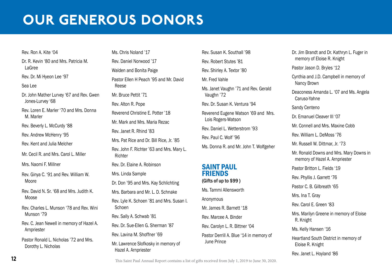### Our Generous Donors

### Rev. Ron A. Kite '04 Dr. R. Kevin '80 and Mrs. Patricia M. LaGree Rev. Dr. Mi Hyeon Lee '97 Sea Lee Dr. John Mather Lurvey '67 and Rev. Gwen Jones-Lurvey '68 Rev. Loren E. Marler '70 and Mrs. Donna M. Marler Rev. Beverly L. McCurdy '88 Rev. Andrew McHenry '95 Rev. Kent and Julia Melcher Mr. Cecil R. and Mrs. Carol L. Miller Mrs. Naomi F. Millner Rev. Ginya C. '91 and Rev. William W. Moore Rev. David N. Sr. '68 and Mrs. Judith K. **Moose** Rev. Charles L. Munson '78 and Rev. Wini Munson '79 Rev. C. Jean Newell in memory of Hazel A. Arnpriester Pastor Ronald L. Nicholas '72 and Mrs. Dorothy L. Nicholas

Ms. Chris Noland '17 Rev. Daniel Norwood '17 Walden and Bonita Paige Pastor Ellen H Peach '95 and Mr. David Reese Mr. Bruce Pettit '71 Rev. Alton R. Pope Reverend Christine E. Potter '18 Mr. Mark and Mrs. Maria Rezac Rev. Janet R. Rhind '83 Mrs. Pat Rice and Dr. Bill Rice, Jr. '85 Rev. John F. Richter '63 and Mrs. Mary L. **Richter** Rev. Dr. Elaine A. Robinson Mrs. Linda Sample Dr. Don '95 and Mrs. Kay Schlichting Mrs. Barbara and Mr. L. D. Schnake Rev. Lyle K. Schoen '81 and Mrs. Susan I. Schoen Rev. Sally A. Schwab '81 Rev. Dr. Sue-Ellen G. Sherman '87 Rev. Lavina M. Shoffner '69 Mr. Lawrence Slofkosky in memory of Hazel A. Arnpriester

Rev. Susan K. Southall '98 Rev. Robert Stutes '81 Rev. Shirley A. Textor '80 Mr. Fred Vahle Ms. Janet Vaughn '71 and Rev. Gerald Vaughn '72 Rev. Dr. Susan K. Ventura '94 Reverend Eugene Watson '69 and Mrs. Lois Rogers-Watson Rev. Daniel L. Wetterstrom '93 Rev. Paul C. Wolf '96 Ms. Donna R. and Mr. John T. Wolfgeher SAINT PAUL FRIENDS (Gifts of up to \$99 )

Ms. Tammi Allensworth Anonymous Mr. James R. Barnett '18 Rev. Marcee A. Binder Rev. Carolyn L. R. Bittner '04 Pastor Derrill A. Blue '14 in memory of June Prince

Dr. Jim Brandt and Dr. Kathryn L. Fuger in memory of Eloise R. Knight Pastor Jason D. Bryles '12 Cynthia and J.D. Campbell in memory of Nancy Brown Deaconess Amanda L. '07 and Ms. Angela Caruso-Yahne Sandy Centeno Dr. Emanuel Cleaver III '07 Mr. Connell and Mrs. Maxine Cobb Rev. William L. DeMoss '76 Mr. Russell W. Dittmar, Jr. '73 Mr. Ronald Downs and Mrs. Mary Downs in memory of Hazel A. Arnpriester Pastor Britton L. Fields '19 Rev. Phyllis J. Garrett '76 Pastor C. B. Gilbreath '65 Mrs. Ina T. Gray Rev. Carol E. Green '83 Mrs. Marilyn Greene in memory of Eloise R. Knight Ms. Kelly Hansen '16 Heartland South District in memory of Eloise R. Knight

Rev. Janet L. Hoyland '86

This Saint Paul Annual Report contains a list of gifts received from July 1, 2019 to June 30, 2020.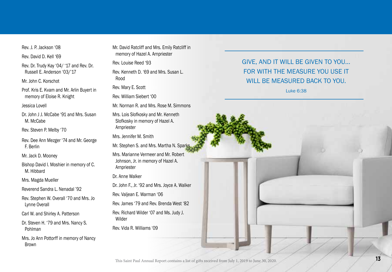Rev. J. P. Jackson '08

Rev. David D. Kell '69

Rev. Dr. Trudy Kay '04/ '17 and Rev. Dr. Russell E. Anderson '03/'17

Mr. John C. Korschot

Prof. Kris E. Kvam and Mr. Arlin Buyert in memory of Eloise R. Knight

Jessica Lovell

Dr. John J J. McCabe '91 and Mrs. Susan M. McCabe

Rev. Steven P. Melby '70

Rev. Dee Ann Mezger '74 and Mr. George F. Berlin

Mr. Jack D. Mooney

Bishop David I. Moshier in memory of C. M. Hibbard

Mrs. Magda Mueller

Reverend Sandra L. Nenadal '92

Rev. Stephen W. Overall '70 and Mrs. Jo Lynne Overall

Carl W. and Shirley A. Patterson

Dr. Steven H. '79 and Mrs. Nancy S. Pohlman

Mrs. Jo Ann Pottorff in memory of Nancy Brown

Mr. David Ratcliff and Mrs. Emily Ratcliff in memory of Hazel A. Arnpriester

Rev. Louise Reed '93

Rev. Kenneth D. '69 and Mrs. Susan L. Rood

Rev. Mary E. Scott

Rev. William Siebert '00

Mr. Norman R. and Mrs. Rose M. Simmons

Mrs. Lois Slofkosky and Mr. Kenneth Slofkosky in memory of Hazel A. Arnpriester

Mrs. Jennifer M. Smith

Mr. Stephen S. and Mrs. Martha N. Sparks

Mrs. Marianne Vermeer and Mr. Robert Johnson, Jr. in memory of Hazel A. Arnpriester

Dr. Anne Walker

Dr. John F., Jr. '92 and Mrs. Joyce A. Walker

Rev. Valjean E. Warman '06

Rev. James '79 and Rev. Brenda West '82 Rev. Richard Wilder '07 and Ms. Judy J.

Wilder

Rev. Vida R. Williams '09

### GIVE, AND IT WILL BE GIVEN TO YOU... For with the measure you use it will be measured back to you .

Luke 6:38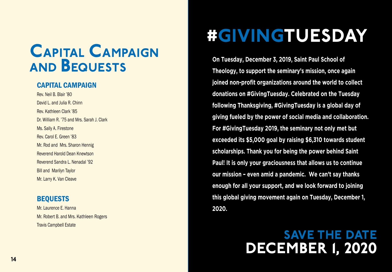### capital Campaign and Bequests

### Capital Campaign

Rev. Neil B. Blair '80 David L. and Julia R. Chinn Rev. Kathleen Clark '85 Dr. William R. '75 and Mrs. Sarah J. Clark Ms. Sally A. Firestone Rev. Carol E. Green '83 Mr. Rod and Mrs. Sharon Hennig Reverend Harold Dean Knewtson Reverend Sandra L. Nenadal '92 Bill and Marilyn Taylor Mr. Larry K. Van Cleave

### BEQUESTS

Mr. Laurence E. Hanna Mr. Robert B. and Mrs. Kathleen Rogers Travis Campbell Estate

## #GIVINGTUESDAY

**On Tuesday, December 3, 2019, Saint Paul School of Theology, to support the seminary's mission, once again joined non-profit organizations around the world to collect donations on #GivingTuesday. Celebrated on the Tuesday following Thanksgiving, #GivingTuesday is a global day of giving fueled by the power of social media and collaboration. For #GivingTuesday 2019, the seminary not only met but exceeded its \$5,000 goal by raising \$6,310 towards student scholarships. Thank you for being the power behind Saint Paul! It is only your graciousness that allows us to continue our mission – even amid a pandemic. We can't say thanks enough for all your support, and we look forward to joining this global giving movement again on Tuesday, December 1, 2020.**

### SAVE THE DATE December 1, 2020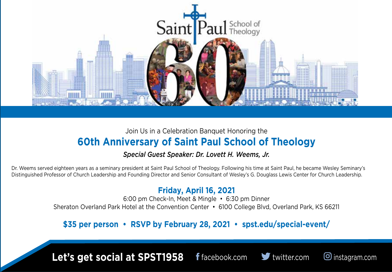

### Join Us in a Celebration Banquet Honoring the **60th Anniversary of Saint Paul School of Theology**

### *Special Guest Speaker: Dr. Lovett H. Weems, Jr.*

Dr. Weems served eighteen years as a seminary president at Saint Paul School of Theology. Following his time at Saint Paul, he became Wesley Seminary's Distinguished Professor of Church Leadership and Founding Director and Senior Consultant of Wesley's G. Douglass Lewis Center for Church Leadership.

### **Friday, April 16, 2021**

6:00 pm Check-In, Meet & Mingle • 6:30 pm Dinner Sheraton Overland Park Hotel at the Convention Center • 6100 College Blvd, Overland Park, KS 66211

### **\$35 per person • RSVP by February 28, 2021 • spst.edu/special-event/**

**Let's get social at SPST1958**



**f** facebook.com **v** twitter.com  $\Theta$  instagram.com